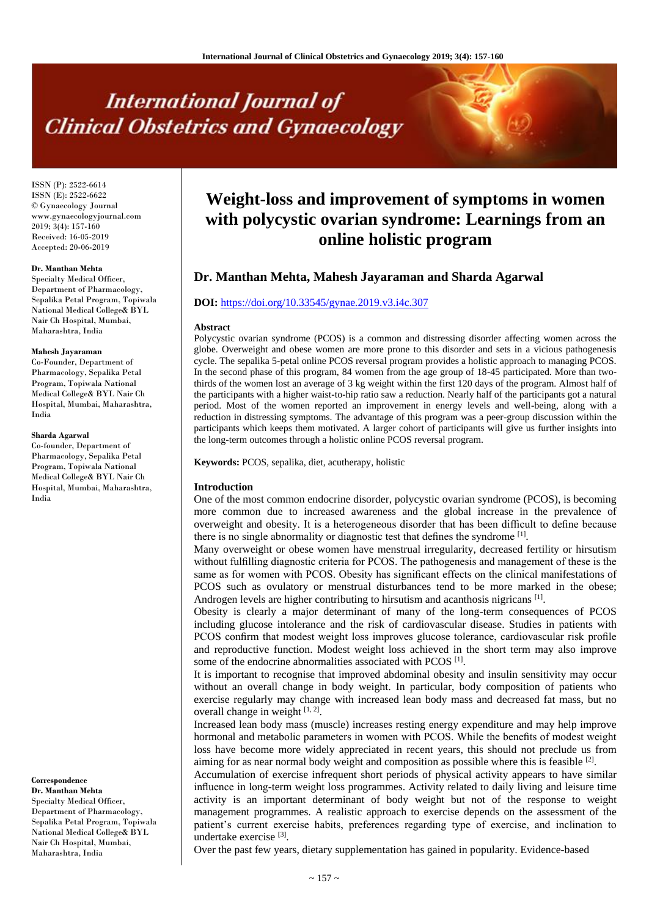# **International Journal of Clinical Obstetrics and Gynaecology**

ISSN (P): 2522-6614 ISSN (E): 2522-6622 © Gynaecology Journal www.gynaecologyjournal.com  $2019; 3(4): 157-160$ Received: 16-05-2019 Accepted: 20-06-2019

# **Dr. Manthan Mehta**

Specialty Medical Officer, Department of Pharmacology, Sepalika Petal Program, Topiwala National Medical College& BYL Nair Ch Hospital, Mumbai, Maharashtra, India

#### **Mahesh Jayaraman**

Co-Founder, Department of Pharmacology, Sepalika Petal Program, Topiwala National Medical College& BYL Nair Ch Hospital, Mumbai, Maharashtra, India

#### **Sharda Agarwal**

Co-founder, Department of Pharmacology, Sepalika Petal Program, Topiwala National Medical College& BYL Nair Ch Hospital, Mumbai, Maharashtra, India

#### **Correspondence**

**Dr. Manthan Mehta** Specialty Medical Officer, Department of Pharmacology, Sepalika Petal Program, Topiwala National Medical College& BYL Nair Ch Hospital, Mumbai, Maharashtra, India

# **Weight-loss and improvement of symptoms in women with polycystic ovarian syndrome: Learnings from an online holistic program**

# **Dr. Manthan Mehta, Mahesh Jayaraman and Sharda Agarwal**

# **DOI:** <https://doi.org/10.33545/gynae.2019.v3.i4c.307>

#### **Abstract**

Polycystic ovarian syndrome (PCOS) is a common and distressing disorder affecting women across the globe. Overweight and obese women are more prone to this disorder and sets in a vicious pathogenesis cycle. The sepalika 5-petal online PCOS reversal program provides a holistic approach to managing PCOS. In the second phase of this program, 84 women from the age group of 18-45 participated. More than twothirds of the women lost an average of 3 kg weight within the first 120 days of the program. Almost half of the participants with a higher waist-to-hip ratio saw a reduction. Nearly half of the participants got a natural period. Most of the women reported an improvement in energy levels and well-being, along with a reduction in distressing symptoms. The advantage of this program was a peer-group discussion within the participants which keeps them motivated. A larger cohort of participants will give us further insights into the long-term outcomes through a holistic online PCOS reversal program.

**Keywords:** PCOS, sepalika, diet, acutherapy, holistic

#### **Introduction**

One of the most common endocrine disorder, polycystic ovarian syndrome (PCOS), is becoming more common due to increased awareness and the global increase in the prevalence of overweight and obesity. It is a heterogeneous disorder that has been difficult to define because there is no single abnormality or diagnostic test that defines the syndrome [1].

Many overweight or obese women have menstrual irregularity, decreased fertility or hirsutism without fulfilling diagnostic criteria for PCOS. The pathogenesis and management of these is the same as for women with PCOS. Obesity has significant effects on the clinical manifestations of PCOS such as ovulatory or menstrual disturbances tend to be more marked in the obese; Androgen levels are higher contributing to hirsutism and acanthosis nigricans<sup>[1]</sup>.

Obesity is clearly a major determinant of many of the long-term consequences of PCOS including glucose intolerance and the risk of cardiovascular disease. Studies in patients with PCOS confirm that modest weight loss improves glucose tolerance, cardiovascular risk profile and reproductive function. Modest weight loss achieved in the short term may also improve some of the endocrine abnormalities associated with PCOS<sup>[1]</sup>.

It is important to recognise that improved abdominal obesity and insulin sensitivity may occur without an overall change in body weight. In particular, body composition of patients who exercise regularly may change with increased lean body mass and decreased fat mass, but no overall change in weight [1, 2].

Increased lean body mass (muscle) increases resting energy expenditure and may help improve hormonal and metabolic parameters in women with PCOS. While the benefits of modest weight loss have become more widely appreciated in recent years, this should not preclude us from aiming for as near normal body weight and composition as possible where this is feasible  $[2]$ .

Accumulation of exercise infrequent short periods of physical activity appears to have similar influence in long-term weight loss programmes. Activity related to daily living and leisure time activity is an important determinant of body weight but not of the response to weight management programmes. A realistic approach to exercise depends on the assessment of the patient's current exercise habits, preferences regarding type of exercise, and inclination to undertake exercise<sup>[3]</sup>.

Over the past few years, dietary supplementation has gained in popularity. Evidence-based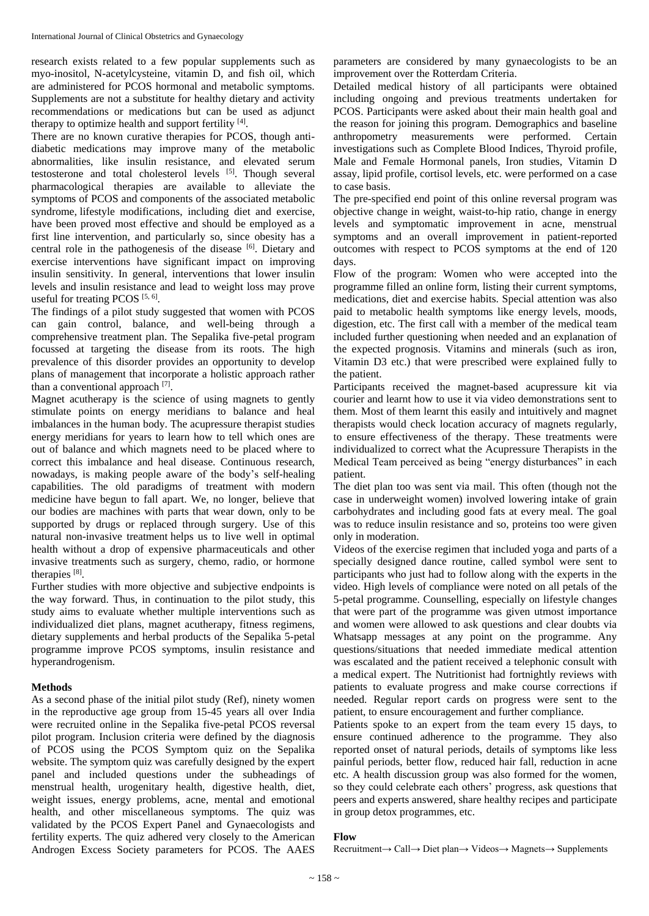research exists related to a few popular supplements such as myo-inositol, N-acetylcysteine, vitamin D, and fish oil, which are administered for PCOS hormonal and metabolic symptoms. Supplements are not a substitute for healthy dietary and activity recommendations or medications but can be used as adjunct therapy to optimize health and support fertility [4].

There are no known curative therapies for PCOS, though antidiabetic medications may improve many of the metabolic abnormalities, like insulin resistance, and elevated serum testosterone and total cholesterol levels [5]. Though several pharmacological therapies are available to alleviate the symptoms of PCOS and components of the associated metabolic syndrome, lifestyle modifications, including diet and exercise, have been proved most effective and should be employed as a first line intervention, and particularly so, since obesity has a central role in the pathogenesis of the disease [6]. Dietary and exercise interventions have significant impact on improving insulin sensitivity. In general, interventions that lower insulin levels and insulin resistance and lead to weight loss may prove useful for treating PCOS  $[5, 6]$ .

The findings of a pilot study suggested that women with PCOS can gain control, balance, and well-being through a comprehensive treatment plan. The Sepalika five-petal program focussed at targeting the disease from its roots. The high prevalence of this disorder provides an opportunity to develop plans of management that incorporate a holistic approach rather than a conventional approach [7].

Magnet acutherapy is the science of using magnets to gently stimulate points on energy meridians to balance and heal imbalances in the human body. The acupressure therapist studies energy meridians for years to learn how to tell which ones are out of balance and which magnets need to be placed where to correct this imbalance and heal disease. Continuous research, nowadays, is making people aware of the body's self-healing capabilities. The old paradigms of treatment with modern medicine have begun to fall apart. We, no longer, believe that our bodies are machines with parts that wear down, only to be supported by drugs or replaced through surgery. Use of this natural non-invasive treatment helps us to live well in optimal health without a drop of expensive pharmaceuticals and other invasive treatments such as surgery, chemo, radio, or hormone therapies<sup>[8]</sup>.

Further studies with more objective and subjective endpoints is the way forward. Thus, in continuation to the pilot study, this study aims to evaluate whether multiple interventions such as individualized diet plans, magnet acutherapy, fitness regimens, dietary supplements and herbal products of the Sepalika 5-petal programme improve PCOS symptoms, insulin resistance and hyperandrogenism.

# **Methods**

As a second phase of the initial pilot study (Ref), ninety women in the reproductive age group from 15-45 years all over India were recruited online in the Sepalika five-petal PCOS reversal pilot program. Inclusion criteria were defined by the diagnosis of PCOS using the PCOS Symptom quiz on the Sepalika website. The symptom quiz was carefully designed by the expert panel and included questions under the subheadings of menstrual health, urogenitary health, digestive health, diet, weight issues, energy problems, acne, mental and emotional health, and other miscellaneous symptoms. The quiz was validated by the PCOS Expert Panel and Gynaecologists and fertility experts. The quiz adhered very closely to the American Androgen Excess Society parameters for PCOS. The AAES

parameters are considered by many gynaecologists to be an improvement over the Rotterdam Criteria.

Detailed medical history of all participants were obtained including ongoing and previous treatments undertaken for PCOS. Participants were asked about their main health goal and the reason for joining this program. Demographics and baseline anthropometry measurements were performed. Certain investigations such as Complete Blood Indices, Thyroid profile, Male and Female Hormonal panels, Iron studies, Vitamin D assay, lipid profile, cortisol levels, etc. were performed on a case to case basis.

The pre-specified end point of this online reversal program was objective change in weight, waist-to-hip ratio, change in energy levels and symptomatic improvement in acne, menstrual symptoms and an overall improvement in patient-reported outcomes with respect to PCOS symptoms at the end of 120 days.

Flow of the program: Women who were accepted into the programme filled an online form, listing their current symptoms, medications, diet and exercise habits. Special attention was also paid to metabolic health symptoms like energy levels, moods, digestion, etc. The first call with a member of the medical team included further questioning when needed and an explanation of the expected prognosis. Vitamins and minerals (such as iron, Vitamin D3 etc.) that were prescribed were explained fully to the patient.

Participants received the magnet-based acupressure kit via courier and learnt how to use it via video demonstrations sent to them. Most of them learnt this easily and intuitively and magnet therapists would check location accuracy of magnets regularly, to ensure effectiveness of the therapy. These treatments were individualized to correct what the Acupressure Therapists in the Medical Team perceived as being "energy disturbances" in each patient.

The diet plan too was sent via mail. This often (though not the case in underweight women) involved lowering intake of grain carbohydrates and including good fats at every meal. The goal was to reduce insulin resistance and so, proteins too were given only in moderation.

Videos of the exercise regimen that included yoga and parts of a specially designed dance routine, called symbol were sent to participants who just had to follow along with the experts in the video. High levels of compliance were noted on all petals of the 5-petal programme. Counselling, especially on lifestyle changes that were part of the programme was given utmost importance and women were allowed to ask questions and clear doubts via Whatsapp messages at any point on the programme. Any questions/situations that needed immediate medical attention was escalated and the patient received a telephonic consult with a medical expert. The Nutritionist had fortnightly reviews with patients to evaluate progress and make course corrections if needed. Regular report cards on progress were sent to the patient, to ensure encouragement and further compliance.

Patients spoke to an expert from the team every 15 days, to ensure continued adherence to the programme. They also reported onset of natural periods, details of symptoms like less painful periods, better flow, reduced hair fall, reduction in acne etc. A health discussion group was also formed for the women, so they could celebrate each others' progress, ask questions that peers and experts answered, share healthy recipes and participate in group detox programmes, etc.

# **Flow**

Recruitment→ Call→ Diet plan→ Videos→ Magnets→ Supplements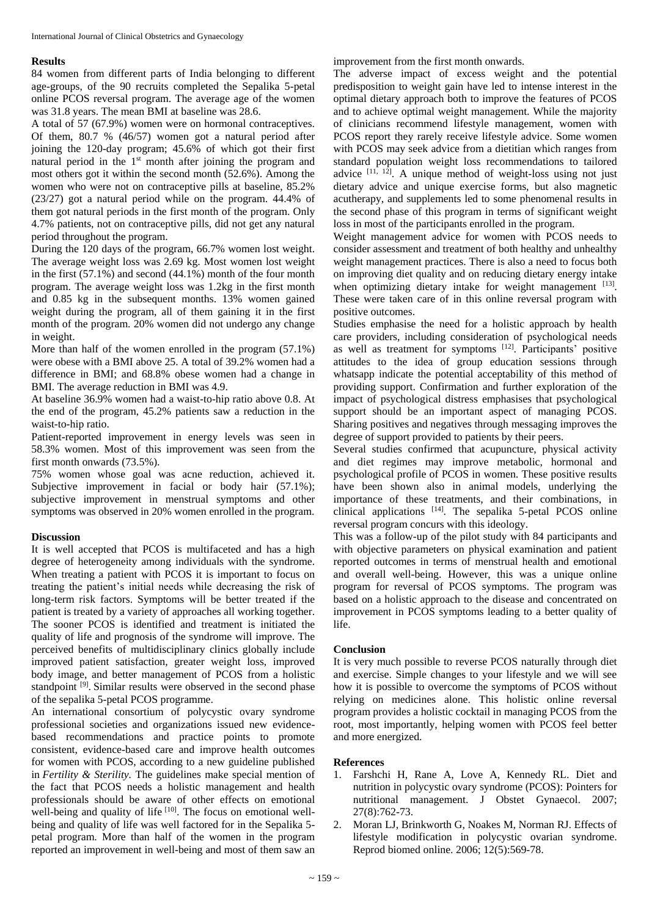# **Results**

84 women from different parts of India belonging to different age-groups, of the 90 recruits completed the Sepalika 5-petal online PCOS reversal program. The average age of the women was 31.8 years. The mean BMI at baseline was 28.6.

A total of 57 (67.9%) women were on hormonal contraceptives. Of them, 80.7 % (46/57) women got a natural period after joining the 120-day program; 45.6% of which got their first natural period in the 1<sup>st</sup> month after joining the program and most others got it within the second month (52.6%). Among the women who were not on contraceptive pills at baseline, 85.2% (23/27) got a natural period while on the program. 44.4% of them got natural periods in the first month of the program. Only 4.7% patients, not on contraceptive pills, did not get any natural period throughout the program.

During the 120 days of the program, 66.7% women lost weight. The average weight loss was 2.69 kg. Most women lost weight in the first  $(57.1\%)$  and second  $(44.1\%)$  month of the four month program. The average weight loss was 1.2kg in the first month and 0.85 kg in the subsequent months. 13% women gained weight during the program, all of them gaining it in the first month of the program. 20% women did not undergo any change in weight.

More than half of the women enrolled in the program (57.1%) were obese with a BMI above 25. A total of 39.2% women had a difference in BMI; and 68.8% obese women had a change in BMI. The average reduction in BMI was 4.9.

At baseline 36.9% women had a waist-to-hip ratio above 0.8. At the end of the program, 45.2% patients saw a reduction in the waist-to-hip ratio.

Patient-reported improvement in energy levels was seen in 58.3% women. Most of this improvement was seen from the first month onwards (73.5%).

75% women whose goal was acne reduction, achieved it. Subjective improvement in facial or body hair  $(57.1\%)$ ; subjective improvement in menstrual symptoms and other symptoms was observed in 20% women enrolled in the program.

# **Discussion**

It is well accepted that PCOS is multifaceted and has a high degree of heterogeneity among individuals with the syndrome. When treating a patient with PCOS it is important to focus on treating the patient's initial needs while decreasing the risk of long-term risk factors. Symptoms will be better treated if the patient is treated by a variety of approaches all working together. The sooner PCOS is identified and treatment is initiated the quality of life and prognosis of the syndrome will improve. The perceived benefits of multidisciplinary clinics globally include improved patient satisfaction, greater weight loss, improved body image, and better management of PCOS from a holistic standpoint <sup>[9]</sup>. Similar results were observed in the second phase of the sepalika 5-petal PCOS programme.

An international consortium of polycystic ovary syndrome professional societies and organizations issued new evidencebased recommendations and practice points to promote consistent, evidence-based care and improve health outcomes for women with PCOS, according to a new guideline published in *Fertility & Sterility.* The guidelines make special mention of the fact that PCOS needs a holistic management and health professionals should be aware of other effects on emotional well-being and quality of life [10]. The focus on emotional wellbeing and quality of life was well factored for in the Sepalika 5 petal program. More than half of the women in the program reported an improvement in well-being and most of them saw an improvement from the first month onwards.

The adverse impact of excess weight and the potential predisposition to weight gain have led to intense interest in the optimal dietary approach both to improve the features of PCOS and to achieve optimal weight management. While the majority of clinicians recommend lifestyle management, women with PCOS report they rarely receive lifestyle advice. Some women with PCOS may seek advice from a dietitian which ranges from standard population weight loss recommendations to tailored advice [11, 12]. A unique method of weight-loss using not just dietary advice and unique exercise forms, but also magnetic acutherapy, and supplements led to some phenomenal results in the second phase of this program in terms of significant weight loss in most of the participants enrolled in the program.

Weight management advice for women with PCOS needs to consider assessment and treatment of both healthy and unhealthy weight management practices. There is also a need to focus both on improving diet quality and on reducing dietary energy intake when optimizing dietary intake for weight management [13]. These were taken care of in this online reversal program with positive outcomes.

Studies emphasise the need for a holistic approach by health care providers, including consideration of psychological needs as well as treatment for symptoms [12]. Participants' positive attitudes to the idea of group education sessions through whatsapp indicate the potential acceptability of this method of providing support. Confirmation and further exploration of the impact of psychological distress emphasises that psychological support should be an important aspect of managing PCOS. Sharing positives and negatives through messaging improves the degree of support provided to patients by their peers.

Several studies confirmed that acupuncture, physical activity and diet regimes may improve metabolic, hormonal and psychological profile of PCOS in women. These positive results have been shown also in animal models, underlying the importance of these treatments, and their combinations, in clinical applications [14] . The sepalika 5-petal PCOS online reversal program concurs with this ideology.

This was a follow-up of the pilot study with 84 participants and with objective parameters on physical examination and patient reported outcomes in terms of menstrual health and emotional and overall well-being. However, this was a unique online program for reversal of PCOS symptoms. The program was based on a holistic approach to the disease and concentrated on improvement in PCOS symptoms leading to a better quality of life.

# **Conclusion**

It is very much possible to reverse PCOS naturally through diet and exercise. Simple changes to your lifestyle and we will see how it is possible to overcome the symptoms of PCOS without relying on medicines alone. This holistic online reversal program provides a holistic cocktail in managing PCOS from the root, most importantly, helping women with PCOS feel better and more energized.

#### **References**

- 1. Farshchi H, Rane A, Love A, Kennedy RL. Diet and nutrition in polycystic ovary syndrome (PCOS): Pointers for nutritional management. J Obstet Gynaecol. 2007; 27(8):762-73.
- 2. Moran LJ, Brinkworth G, Noakes M, Norman RJ. Effects of lifestyle modification in polycystic ovarian syndrome. Reprod biomed online. 2006; 12(5):569-78.